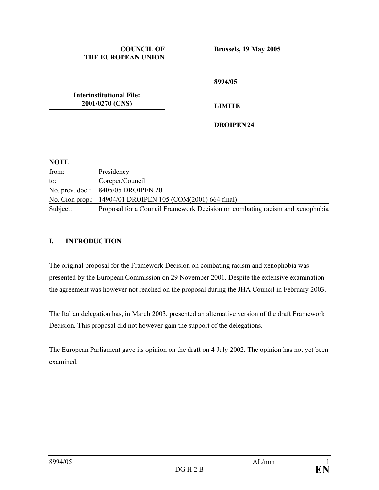#### **COUNCIL OF THE EUROPEAN UNION**

**Brussels, 19 May 2005** 

**Interinstitutional File: 2001/0270 (CNS)** 

**LIMITE** 

**8994/05** 

**DROIPEN 24** 

| <b>NOTE</b> |                                                                              |
|-------------|------------------------------------------------------------------------------|
| from:       | Presidency                                                                   |
| to:         | Coreper/Council                                                              |
|             | No. prev. doc.: 8405/05 DROIPEN 20                                           |
|             | No. Cion prop.: 14904/01 DROIPEN 105 (COM(2001) 664 final)                   |
| Subject:    | Proposal for a Council Framework Decision on combating racism and xenophobia |

#### **I. INTRODUCTION**

The original proposal for the Framework Decision on combating racism and xenophobia was presented by the European Commission on 29 November 2001. Despite the extensive examination the agreement was however not reached on the proposal during the JHA Council in February 2003.

The Italian delegation has, in March 2003, presented an alternative version of the draft Framework Decision. This proposal did not however gain the support of the delegations.

The European Parliament gave its opinion on the draft on 4 July 2002. The opinion has not yet been examined.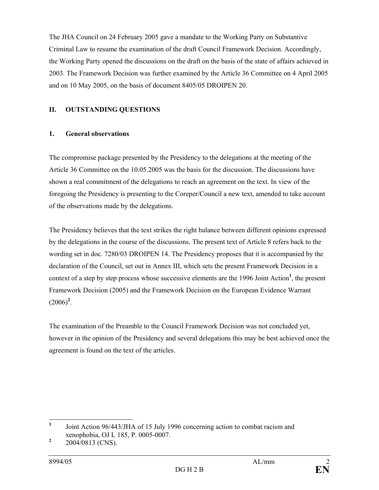The JHA Council on 24 February 2005 gave a mandate to the Working Party on Substantive Criminal Law to resume the examination of the draft Council Framework Decision. Accordingly, the Working Party opened the discussions on the draft on the basis of the state of affairs achieved in 2003. The Framework Decision was further examined by the Article 36 Committee on 4 April 2005 and on 10 May 2005, on the basis of document 8405/05 DROIPEN 20.

#### **II. OUTSTANDING QUESTIONS**

#### **1. General observations**

The compromise package presented by the Presidency to the delegations at the meeting of the Article 36 Committee on the 10.05.2005 was the basis for the discussion. The discussions have shown a real commitment of the delegations to reach an agreement on the text. In view of the foregoing the Presidency is presenting to the Coreper/Council a new text, amended to take account of the observations made by the delegations.

The Presidency believes that the text strikes the right balance between different opinions expressed by the delegations in the course of the discussions. The present text of Article 8 refers back to the wording set in doc. 7280/03 DROIPEN 14. The Presidency proposes that it is accompanied by the declaration of the Council, set out in Annex III, which sets the present Framework Decision in a context of a step by step process whose successive elements are the 1996 Joint Action<sup>1</sup>, the present Framework Decision (2005) and the Framework Decision on the European Evidence Warrant  $(2006)^2$ .

The examination of the Preamble to the Council Framework Decision was not concluded yet, however in the opinion of the Presidency and several delegations this may be best achieved once the agreement is found on the text of the articles.

 **1** Joint Action 96/443/JHA of 15 July 1996 concerning action to combat racism and xenophobia, OJ L 185, P. 0005-0007.

**<sup>2</sup>** 2004/0813 (CNS).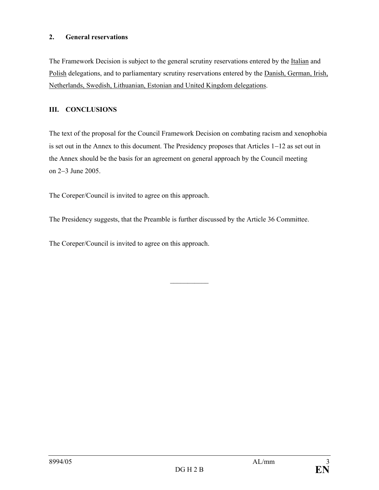#### **2. General reservations**

The Framework Decision is subject to the general scrutiny reservations entered by the Italian and Polish delegations, and to parliamentary scrutiny reservations entered by the Danish, German, Irish, Netherlands, Swedish, Lithuanian, Estonian and United Kingdom delegations.

#### **III. CONCLUSIONS**

The text of the proposal for the Council Framework Decision on combating racism and xenophobia is set out in the Annex to this document. The Presidency proposes that Articles 1−12 as set out in the Annex should be the basis for an agreement on general approach by the Council meeting on 2−3 June 2005.

The Coreper/Council is invited to agree on this approach.

The Presidency suggests, that the Preamble is further discussed by the Article 36 Committee.

 $\frac{1}{2}$ 

The Coreper/Council is invited to agree on this approach.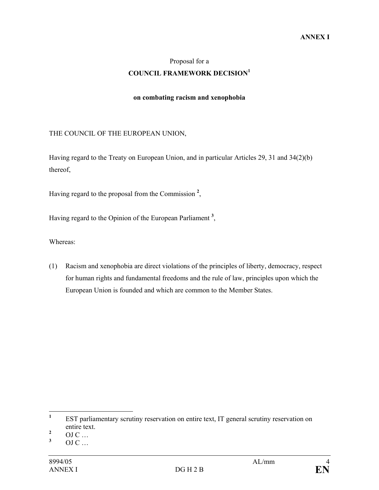# Proposal for a **COUNCIL FRAMEWORK DECISION<sup>1</sup>**

#### **on combating racism and xenophobia**

#### THE COUNCIL OF THE EUROPEAN UNION,

Having regard to the Treaty on European Union, and in particular Articles 29, 31 and 34(2)(b) thereof,

Having regard to the proposal from the Commission **<sup>2</sup>** ,

Having regard to the Opinion of the European Parliament **<sup>3</sup>** ,

Whereas:

(1) Racism and xenophobia are direct violations of the principles of liberty, democracy, respect for human rights and fundamental freedoms and the rule of law, principles upon which the European Union is founded and which are common to the Member States.

 **1** EST parliamentary scrutiny reservation on entire text, IT general scrutiny reservation on entire text.

**<sup>2</sup>** OJ C …

**<sup>3</sup>** OJ C …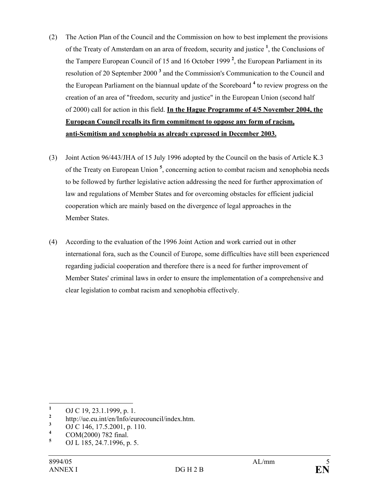- (2) The Action Plan of the Council and the Commission on how to best implement the provisions of the Treaty of Amsterdam on an area of freedom, security and justice **<sup>1</sup>** , the Conclusions of the Tampere European Council of 15 and 16 October 1999 **<sup>2</sup>** , the European Parliament in its resolution of 20 September 2000 **<sup>3</sup>** and the Commission's Communication to the Council and the European Parliament on the biannual update of the Scoreboard **<sup>4</sup>** to review progress on the creation of an area of "freedom, security and justice" in the European Union (second half of 2000) call for action in this field. **In the Hague Programme of 4/5 November 2004, the European Council recalls its firm commitment to oppose any form of racism, anti-Semitism and xenophobia as already expressed in December 2003.**
- (3) Joint Action 96/443/JHA of 15 July 1996 adopted by the Council on the basis of Article K.3 of the Treaty on European Union **<sup>5</sup>** , concerning action to combat racism and xenophobia needs to be followed by further legislative action addressing the need for further approximation of law and regulations of Member States and for overcoming obstacles for efficient judicial cooperation which are mainly based on the divergence of legal approaches in the Member States.
- (4) According to the evaluation of the 1996 Joint Action and work carried out in other international fora, such as the Council of Europe, some difficulties have still been experienced regarding judicial cooperation and therefore there is a need for further improvement of Member States' criminal laws in order to ensure the implementation of a comprehensive and clear legislation to combat racism and xenophobia effectively.

 **1** OJ C 19, 23.1.1999, p. 1.

**<sup>2</sup>** http://ue.eu.int/en/Info/eurocouncil/index.htm.

**<sup>3</sup>** OJ C 146, 17.5.2001, p. 110.

**<sup>4</sup>** COM(2000) 782 final.

**<sup>5</sup>** OJ L 185, 24.7.1996, p. 5.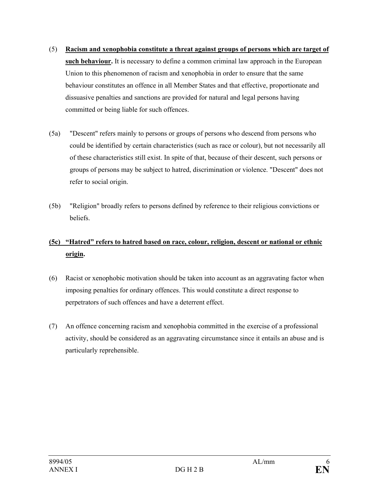- (5) **Racism and xenophobia constitute a threat against groups of persons which are target of such behaviour.** It is necessary to define a common criminal law approach in the European Union to this phenomenon of racism and xenophobia in order to ensure that the same behaviour constitutes an offence in all Member States and that effective, proportionate and dissuasive penalties and sanctions are provided for natural and legal persons having committed or being liable for such offences.
- (5a) "Descent" refers mainly to persons or groups of persons who descend from persons who could be identified by certain characteristics (such as race or colour), but not necessarily all of these characteristics still exist. In spite of that, because of their descent, such persons or groups of persons may be subject to hatred, discrimination or violence. "Descent" does not refer to social origin.
- (5b) "Religion" broadly refers to persons defined by reference to their religious convictions or beliefs.

# **(5c) "Hatred" refers to hatred based on race, colour, religion, descent or national or ethnic origin.**

- (6) Racist or xenophobic motivation should be taken into account as an aggravating factor when imposing penalties for ordinary offences. This would constitute a direct response to perpetrators of such offences and have a deterrent effect.
- (7) An offence concerning racism and xenophobia committed in the exercise of a professional activity, should be considered as an aggravating circumstance since it entails an abuse and is particularly reprehensible.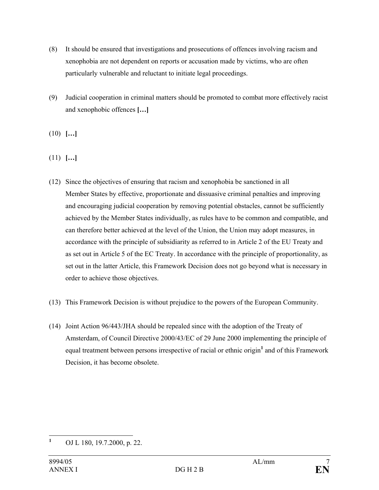- (8) It should be ensured that investigations and prosecutions of offences involving racism and xenophobia are not dependent on reports or accusation made by victims, who are often particularly vulnerable and reluctant to initiate legal proceedings.
- (9) Judicial cooperation in criminal matters should be promoted to combat more effectively racist and xenophobic offences **[…]**
- (10) **[…]**
- (11) **[…]**
- (12) Since the objectives of ensuring that racism and xenophobia be sanctioned in all Member States by effective, proportionate and dissuasive criminal penalties and improving and encouraging judicial cooperation by removing potential obstacles, cannot be sufficiently achieved by the Member States individually, as rules have to be common and compatible, and can therefore better achieved at the level of the Union, the Union may adopt measures, in accordance with the principle of subsidiarity as referred to in Article 2 of the EU Treaty and as set out in Article 5 of the EC Treaty. In accordance with the principle of proportionality, as set out in the latter Article, this Framework Decision does not go beyond what is necessary in order to achieve those objectives.
- (13) This Framework Decision is without prejudice to the powers of the European Community.
- (14) Joint Action 96/443/JHA should be repealed since with the adoption of the Treaty of Amsterdam, of Council Directive 2000/43/EC of 29 June 2000 implementing the principle of equal treatment between persons irrespective of racial or ethnic origin<sup>1</sup> and of this Framework Decision, it has become obsolete.

 **1** OJ L 180, 19.7.2000, p. 22.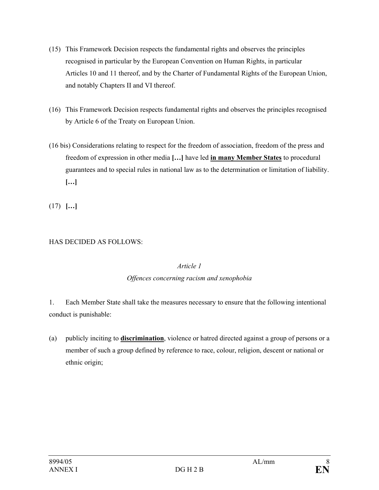- (15) This Framework Decision respects the fundamental rights and observes the principles recognised in particular by the European Convention on Human Rights, in particular Articles 10 and 11 thereof, and by the Charter of Fundamental Rights of the European Union, and notably Chapters II and VI thereof.
- (16) This Framework Decision respects fundamental rights and observes the principles recognised by Article 6 of the Treaty on European Union.
- (16 bis) Considerations relating to respect for the freedom of association, freedom of the press and freedom of expression in other media **[…]** have led **in many Member States** to procedural guarantees and to special rules in national law as to the determination or limitation of liability. **[…]**

(17) **[…]** 

## HAS DECIDED AS FOLLOWS:

# *Article 1 Offences concerning racism and xenophobia*

1. Each Member State shall take the measures necessary to ensure that the following intentional conduct is punishable:

(a) publicly inciting to **discrimination**, violence or hatred directed against a group of persons or a member of such a group defined by reference to race, colour, religion, descent or national or ethnic origin;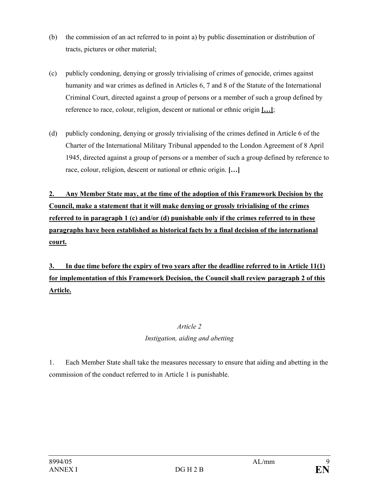- (b) the commission of an act referred to in point a) by public dissemination or distribution of tracts, pictures or other material;
- (c) publicly condoning, denying or grossly trivialising of crimes of genocide, crimes against humanity and war crimes as defined in Articles 6, 7 and 8 of the Statute of the International Criminal Court, directed against a group of persons or a member of such a group defined by reference to race, colour, religion, descent or national or ethnic origin **[…]**;
- (d) publicly condoning, denying or grossly trivialising of the crimes defined in Article 6 of the Charter of the International Military Tribunal appended to the London Agreement of 8 April 1945, directed against a group of persons or a member of such a group defined by reference to race, colour, religion, descent or national or ethnic origin. **[…]**

**2. Any Member State may, at the time of the adoption of this Framework Decision by the Council, make a statement that it will make denying or grossly trivialising of the crimes referred to in paragraph 1 (c) and/or (d) punishable only if the crimes referred to in these paragraphs have been established as historical facts by a final decision of the international court.**

**3. In due time before the expiry of two years after the deadline referred to in Article 11(1) for implementation of this Framework Decision, the Council shall review paragraph 2 of this Article.**

## *Article 2*

## *Instigation, aiding and abetting*

1. Each Member State shall take the measures necessary to ensure that aiding and abetting in the commission of the conduct referred to in Article 1 is punishable.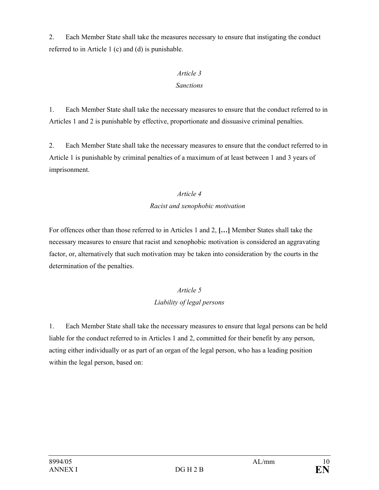2. Each Member State shall take the measures necessary to ensure that instigating the conduct referred to in Article 1 (c) and (d) is punishable.

# *Article 3*

## *Sanctions*

1. Each Member State shall take the necessary measures to ensure that the conduct referred to in Articles 1 and 2 is punishable by effective, proportionate and dissuasive criminal penalties.

2. Each Member State shall take the necessary measures to ensure that the conduct referred to in Article 1 is punishable by criminal penalties of a maximum of at least between 1 and 3 years of imprisonment.

# *Article 4 Racist and xenophobic motivation*

For offences other than those referred to in Articles 1 and 2, **[…]** Member States shall take the necessary measures to ensure that racist and xenophobic motivation is considered an aggravating factor, or, alternatively that such motivation may be taken into consideration by the courts in the determination of the penalties.

## *Article 5 Liability of legal persons*

1. Each Member State shall take the necessary measures to ensure that legal persons can be held liable for the conduct referred to in Articles 1 and 2, committed for their benefit by any person, acting either individually or as part of an organ of the legal person, who has a leading position within the legal person, based on: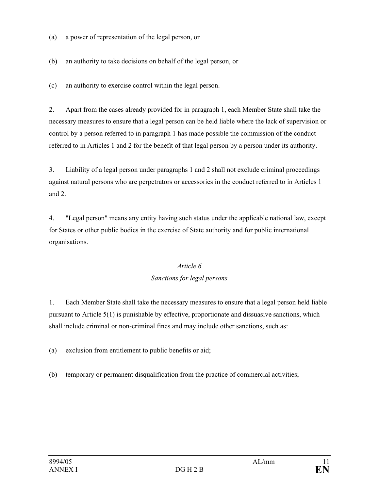(a) a power of representation of the legal person, or

(b) an authority to take decisions on behalf of the legal person, or

(c) an authority to exercise control within the legal person.

2. Apart from the cases already provided for in paragraph 1, each Member State shall take the necessary measures to ensure that a legal person can be held liable where the lack of supervision or control by a person referred to in paragraph 1 has made possible the commission of the conduct referred to in Articles 1 and 2 for the benefit of that legal person by a person under its authority.

3. Liability of a legal person under paragraphs 1 and 2 shall not exclude criminal proceedings against natural persons who are perpetrators or accessories in the conduct referred to in Articles 1 and 2.

4. "Legal person" means any entity having such status under the applicable national law, except for States or other public bodies in the exercise of State authority and for public international organisations.

# *Article 6 Sanctions for legal persons*

1. Each Member State shall take the necessary measures to ensure that a legal person held liable pursuant to Article 5(1) is punishable by effective, proportionate and dissuasive sanctions, which shall include criminal or non-criminal fines and may include other sanctions, such as:

(a) exclusion from entitlement to public benefits or aid;

(b) temporary or permanent disqualification from the practice of commercial activities;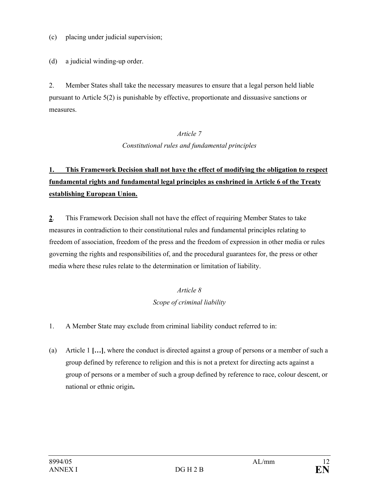(c) placing under judicial supervision;

(d) a judicial winding-up order.

2. Member States shall take the necessary measures to ensure that a legal person held liable pursuant to Article 5(2) is punishable by effective, proportionate and dissuasive sanctions or measures.

# *Article 7 Constitutional rules and fundamental principles*

# **1. This Framework Decision shall not have the effect of modifying the obligation to respect fundamental rights and fundamental legal principles as enshrined in Article 6 of the Treaty establishing European Union.**

**2**. This Framework Decision shall not have the effect of requiring Member States to take measures in contradiction to their constitutional rules and fundamental principles relating to freedom of association, freedom of the press and the freedom of expression in other media or rules governing the rights and responsibilities of, and the procedural guarantees for, the press or other media where these rules relate to the determination or limitation of liability.

## *Article 8 Scope of criminal liability*

- 1. A Member State may exclude from criminal liability conduct referred to in:
- (a) Article 1 **[…]**, where the conduct is directed against a group of persons or a member of such a group defined by reference to religion and this is not a pretext for directing acts against a group of persons or a member of such a group defined by reference to race, colour descent, or national or ethnic origin**.**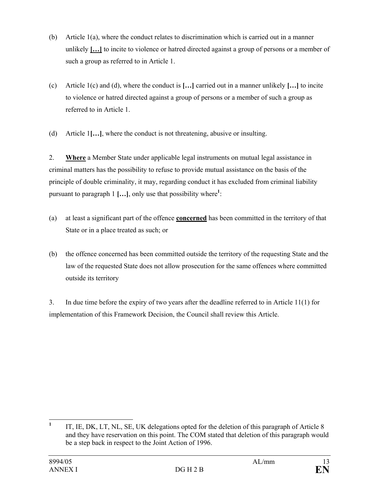- (b) Article  $1(a)$ , where the conduct relates to discrimination which is carried out in a manner unlikely [...] to incite to violence or hatred directed against a group of persons or a member of such a group as referred to in Article 1.
- (c) Article 1(c) and (d), where the conduct is **[…]** carried out in a manner unlikely **[…]** to incite to violence or hatred directed against a group of persons or a member of such a group as referred to in Article 1.
- (d) Article 1**[…]**, where the conduct is not threatening, abusive or insulting.

2. **Where** a Member State under applicable legal instruments on mutual legal assistance in criminal matters has the possibility to refuse to provide mutual assistance on the basis of the principle of double criminality, it may, regarding conduct it has excluded from criminal liability pursuant to paragraph 1 **[…]**, only use that possibility where**<sup>1</sup>** :

- (a) at least a significant part of the offence **concerned** has been committed in the territory of that State or in a place treated as such; or
- (b) the offence concerned has been committed outside the territory of the requesting State and the law of the requested State does not allow prosecution for the same offences where committed outside its territory

3. In due time before the expiry of two years after the deadline referred to in Article 11(1) for implementation of this Framework Decision, the Council shall review this Article.

 **1** IT, IE, DK, LT, NL, SE, UK delegations opted for the deletion of this paragraph of Article 8 and they have reservation on this point. The COM stated that deletion of this paragraph would be a step back in respect to the Joint Action of 1996.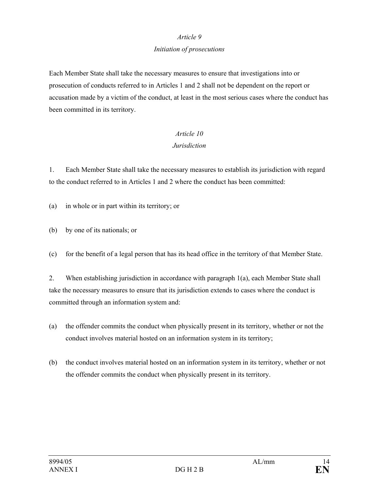#### *Article 9*

#### *Initiation of prosecutions*

Each Member State shall take the necessary measures to ensure that investigations into or prosecution of conducts referred to in Articles 1 and 2 shall not be dependent on the report or accusation made by a victim of the conduct, at least in the most serious cases where the conduct has been committed in its territory.

## *Article 10 Jurisdiction*

1. Each Member State shall take the necessary measures to establish its jurisdiction with regard to the conduct referred to in Articles 1 and 2 where the conduct has been committed:

(a) in whole or in part within its territory; or

- (b) by one of its nationals; or
- (c) for the benefit of a legal person that has its head office in the territory of that Member State.

2. When establishing jurisdiction in accordance with paragraph 1(a), each Member State shall take the necessary measures to ensure that its jurisdiction extends to cases where the conduct is committed through an information system and:

- (a) the offender commits the conduct when physically present in its territory, whether or not the conduct involves material hosted on an information system in its territory;
- (b) the conduct involves material hosted on an information system in its territory, whether or not the offender commits the conduct when physically present in its territory.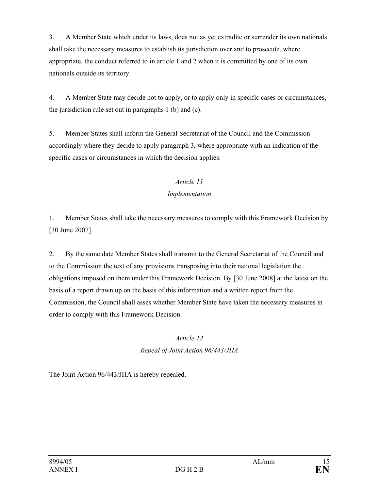3. A Member State which under its laws, does not as yet extradite or surrender its own nationals shall take the necessary measures to establish its jurisdiction over and to prosecute, where appropriate, the conduct referred to in article 1 and 2 when it is committed by one of its own nationals outside its territory.

4. A Member State may decide not to apply, or to apply only in specific cases or circumstances, the jurisdiction rule set out in paragraphs 1 (b) and (c).

5. Member States shall inform the General Secretariat of the Council and the Commission accordingly where they decide to apply paragraph 3, where appropriate with an indication of the specific cases or circumstances in which the decision applies.

# *Article 11*

## *Implementation*

1. Member States shall take the necessary measures to comply with this Framework Decision by [30 June 2007].

2. By the same date Member States shall transmit to the General Secretariat of the Council and to the Commission the text of any provisions transposing into their national legislation the obligations imposed on them under this Framework Decision. By [30 June 2008] at the latest on the basis of a report drawn up on the basis of this information and a written report from the Commission, the Council shall asses whether Member State have taken the necessary measures in order to comply with this Framework Decision.

# *Article 12 Repeal of Joint Action 96/443/JHA*

The Joint Action 96/443/JHA is hereby repealed.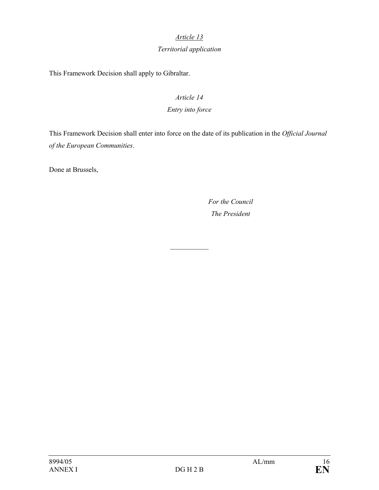## *Article 13*

## *Territorial application*

This Framework Decision shall apply to Gibraltar.

# *Article 14 Entry into force*

This Framework Decision shall enter into force on the date of its publication in the *Official Journal of the European Communities*.

 $\mathcal{L}_\text{max}$ 

Done at Brussels,

 *For the Council The President*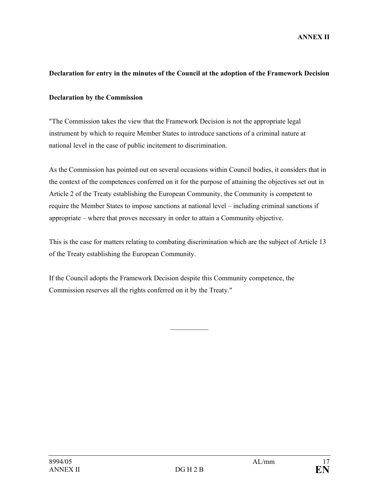**ANNEX II** 

### **Declaration for entry in the minutes of the Council at the adoption of the Framework Decision**

#### **Declaration by the Commission**

"The Commission takes the view that the Framework Decision is not the appropriate legal instrument by which to require Member States to introduce sanctions of a criminal nature at national level in the case of public incitement to discrimination.

As the Commission has pointed out on several occasions within Council bodies, it considers that in the context of the competences conferred on it for the purpose of attaining the objectives set out in Article 2 of the Treaty establishing the European Community, the Community is competent to require the Member States to impose sanctions at national level – including criminal sanctions if appropriate – where that proves necessary in order to attain a Community objective.

This is the case for matters relating to combating discrimination which are the subject of Article 13 of the Treaty establishing the European Community.

 $\frac{1}{2}$ 

If the Council adopts the Framework Decision despite this Community competence, the Commission reserves all the rights conferred on it by the Treaty."